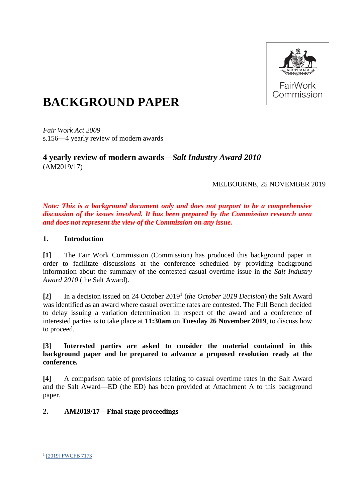

# **BACKGROUND PAPER**

*Fair Work Act 2009*  s.156—4 yearly review of modern awards

# **4 yearly review of modern awards—***Salt Industry Award 2010* (AM2019/17)

# MELBOURNE, 25 NOVEMBER 2019

*Note: This is a background document only and does not purport to be a comprehensive discussion of the issues involved. It has been prepared by the Commission research area and does not represent the view of the Commission on any issue.* 

### **1. Introduction**

**[1]** The Fair Work Commission (Commission) has produced this background paper in order to facilitate discussions at the conference scheduled by providing background information about the summary of the contested casual overtime issue in the *Salt Industry Award 2010* (the Salt Award).

[2] In a decision issued on 24 October 2019<sup>1</sup> (*the October 2019 Decision*) the Salt Award was identified as an award where casual overtime rates are contested. The Full Bench decided to delay issuing a variation determination in respect of the award and a conference of interested parties is to take place at **11:30am** on **Tuesday 26 November 2019**, to discuss how to proceed.

### **[3] Interested parties are asked to consider the material contained in this background paper and be prepared to advance a proposed resolution ready at the conference.**

**[4]** A comparison table of provisions relating to casual overtime rates in the Salt Award and the Salt Award—ED (the ED) has been provided at Attachment A to this background paper.

# **2. AM2019/17—Final stage proceedings**

<sup>&</sup>lt;sup>1</sup> [\[2019\] FWCFB 7173](https://www.fwc.gov.au/documents/decisionssigned/html/2019fwcfb7173.htm)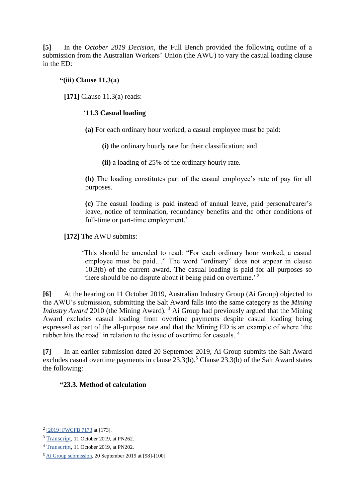**[5]** In the *October 2019 Decision*, the Full Bench provided the following outline of a submission from the Australian Workers' Union (the AWU) to vary the casual loading clause in the ED:

# **"(iii) Clause 11.3(a)**

**[171]** Clause 11.3(a) reads:

### '**11.3 Casual loading**

**(a)** For each ordinary hour worked, a casual employee must be paid:

**(i)** the ordinary hourly rate for their classification; and

**(ii)** a loading of 25% of the ordinary hourly rate.

**(b)** The loading constitutes part of the casual employee's rate of pay for all purposes.

**(c)** The casual loading is paid instead of annual leave, paid personal/carer's leave, notice of termination, redundancy benefits and the other conditions of full-time or part-time employment.'

**[172]** The AWU submits:

'This should be amended to read: "For each ordinary hour worked, a casual employee must be paid…" The word "ordinary" does not appear in clause 10.3(b) of the current award. The casual loading is paid for all purposes so there should be no dispute about it being paid on overtime.<sup> $2$ </sup>

**[6]** At the hearing on 11 October 2019, Australian Industry Group (Ai Group) objected to the AWU's submission, submitting the Salt Award falls into the same category as the *Mining Industry Award* 2010 (the Mining Award). <sup>3</sup> Ai Group had previously argued that the Mining Award excludes casual loading from overtime payments despite casual loading being expressed as part of the all-purpose rate and that the Mining ED is an example of where 'the rubber hits the road' in relation to the issue of overtime for casuals.<sup>4</sup>

**[7]** In an earlier submission dated 20 September 2019, Ai Group submits the Salt Award excludes casual overtime payments in clause  $23.3(b)$ .<sup>5</sup> Clause  $23.3(b)$  of the Salt Award states the following:

# **"23.3. Method of calculation**

<sup>&</sup>lt;sup>2</sup> [\[2019\] FWCFB 7173](https://www.fwc.gov.au/documents/decisionssigned/html/2019fwcfb7173.htm) at [173].

<sup>3</sup> [Transcript,](https://www.fwc.gov.au/documents/sites/awardsmodernfouryr/20191011_am201917.htm) 11 October 2019, at PN262.

<sup>4</sup> [Transcript,](https://www.fwc.gov.au/documents/sites/awardsmodernfouryr/20191011_am201917.htm) 11 October 2019, at PN202.

<sup>5</sup> [Ai Group submission,](https://www.fwc.gov.au/documents/sites/awardsmodernfouryr/am201479andors-sub-aigroup-200919.pdf) 20 September 2019 at [98]-[100].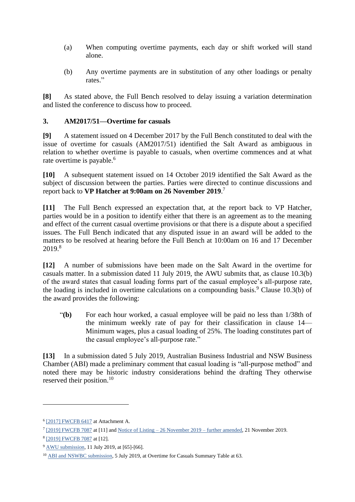- (a) When computing overtime payments, each day or shift worked will stand alone.
- (b) Any overtime payments are in substitution of any other loadings or penalty rates."

**[8]** As stated above, the Full Bench resolved to delay issuing a variation determination and listed the conference to discuss how to proceed.

### **3. AM2017/51—Overtime for casuals**

**[9]** A statement issued on 4 December 2017 by the Full Bench constituted to deal with the issue of overtime for casuals (AM2017/51) identified the Salt Award as ambiguous in relation to whether overtime is payable to casuals, when overtime commences and at what rate overtime is payable.<sup>6</sup>

**[10]** A subsequent statement issued on 14 October 2019 identified the Salt Award as the subject of discussion between the parties. Parties were directed to continue discussions and report back to **VP Hatcher at 9:00am on 26 November 2019**. 7

**[11]** The Full Bench expressed an expectation that, at the report back to VP Hatcher, parties would be in a position to identify either that there is an agreement as to the meaning and effect of the current casual overtime provisions or that there is a dispute about a specified issues. The Full Bench indicated that any disputed issue in an award will be added to the matters to be resolved at hearing before the Full Bench at 10:00am on 16 and 17 December 2019.8

**[12]** A number of submissions have been made on the Salt Award in the overtime for casuals matter. In a submission dated 11 July 2019, the AWU submits that, as clause 10.3(b) of the award states that casual loading forms part of the casual employee's all-purpose rate, the loading is included in overtime calculations on a compounding basis.<sup>9</sup> Clause 10.3(b) of the award provides the following:

"**(b)** For each hour worked, a casual employee will be paid no less than 1/38th of the minimum weekly rate of pay for their classification in clause 14— Minimum wages, plus a casual loading of 25%. The loading constitutes part of the casual employee's all-purpose rate."

**[13]** In a submission dated 5 July 2019, Australian Business Industrial and NSW Business Chamber (ABI) made a preliminary comment that casual loading is "all-purpose method" and noted there may be historic industry considerations behind the drafting They otherwise reserved their position.<sup>10</sup>

<sup>&</sup>lt;sup>6</sup> [\[2017\] FWCFB 6417](https://www.fwc.gov.au/documents/decisionssigned/html/2017fwcfb6417.htm) at Attachment A.

<sup>&</sup>lt;sup>7</sup> [\[2019\] FWCFB 7087](https://www.fwc.gov.au/documents/decisionssigned/html/2019fwc7087.htm) at [11] and Notice of Listing – [26 November 2019 –](https://www.fwc.gov.au/documents/sites/awardsmodernfouryr/nol-261119-am201751-amended.pdf) further amended, 21 November 2019.

<sup>8</sup> [\[2019\] FWCFB 7087](https://www.fwc.gov.au/documents/decisionssigned/html/2019fwc7087.htm) at [12].

<sup>9</sup> [AWU submission,](https://www.fwc.gov.au/documents/sites/awardsmodernfouryr/am201751-sub-awu-110719.pdf) 11 July 2019, at [65]-[66].

<sup>10</sup> [ABI and NSWBC submission,](https://www.fwc.gov.au/documents/sites/awardsmodernfouryr/am201741-sub-reply-abinswbc-050719.pdf) 5 July 2019, at Overtime for Casuals Summary Table at 63.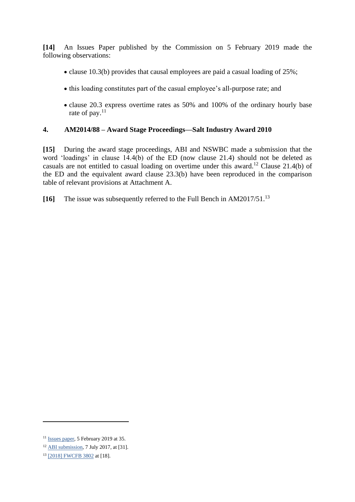**[14]** An Issues Paper published by the Commission on 5 February 2019 made the following observations:

- clause 10.3(b) provides that causal employees are paid a casual loading of 25%;
- this loading constitutes part of the casual employee's all-purpose rate; and
- clause 20.3 express overtime rates as 50% and 100% of the ordinary hourly base rate of pay.<sup>11</sup>

### **4. AM2014/88 – Award Stage Proceedings—Salt Industry Award 2010**

**[15]** During the award stage proceedings, ABI and NSWBC made a submission that the word 'loadings' in clause 14.4(b) of the ED (now clause 21.4) should not be deleted as casuals are not entitled to casual loading on overtime under this award.<sup>12</sup> Clause 21.4(b) of the ED and the equivalent award clause 23.3(b) have been reproduced in the comparison table of relevant provisions at Attachment A.

**[16]** The issue was subsequently referred to the Full Bench in AM2017/51. 13

<sup>11</sup> [Issues paper,](https://www.fwc.gov.au/documents/sites/awardsmodernfouryr/am201751-issues-paper-050219-.pdf) 5 February 2019 at 35.

<sup>12</sup> [ABI submission,](https://www.fwc.gov.au/documents/sites/awardsmodernfouryr/am201467-ors-sub-abinswbc-070717.pdf) 7 July 2017, at [31].

<sup>13</sup> [\[2018\] FWCFB 3802](https://www.fwc.gov.au/documents/decisionssigned/html/2018fwcfb3802.htm#P1845_127509) at [18].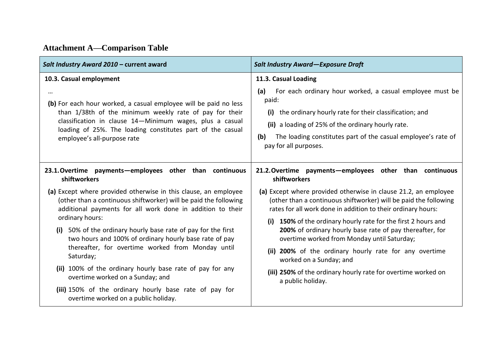| Salt Industry Award 2010 - current award                                                                                                                                                                                                                                                                                                                                                                                                                                          | <b>Salt Industry Award-Exposure Draft</b>                                                                                                                                                                                                                                                                                                                                                                                                                     |
|-----------------------------------------------------------------------------------------------------------------------------------------------------------------------------------------------------------------------------------------------------------------------------------------------------------------------------------------------------------------------------------------------------------------------------------------------------------------------------------|---------------------------------------------------------------------------------------------------------------------------------------------------------------------------------------------------------------------------------------------------------------------------------------------------------------------------------------------------------------------------------------------------------------------------------------------------------------|
| 10.3. Casual employment<br><br>(b) For each hour worked, a casual employee will be paid no less<br>than 1/38th of the minimum weekly rate of pay for their<br>classification in clause 14-Minimum wages, plus a casual<br>loading of 25%. The loading constitutes part of the casual<br>employee's all-purpose rate                                                                                                                                                               | 11.3. Casual Loading<br>For each ordinary hour worked, a casual employee must be<br>(a)<br>paid:<br>the ordinary hourly rate for their classification; and<br>(i)<br>(ii) a loading of 25% of the ordinary hourly rate.<br>The loading constitutes part of the casual employee's rate of<br>(b)<br>pay for all purposes.                                                                                                                                      |
| 23.1. Overtime payments - employees other than continuous<br>shiftworkers<br>(a) Except where provided otherwise in this clause, an employee<br>(other than a continuous shiftworker) will be paid the following<br>additional payments for all work done in addition to their<br>ordinary hours:<br>(i) 50% of the ordinary hourly base rate of pay for the first<br>two hours and 100% of ordinary hourly base rate of pay<br>thereafter, for overtime worked from Monday until | 21.2. Overtime payments - employees other than continuous<br>shiftworkers<br>(a) Except where provided otherwise in clause 21.2, an employee<br>(other than a continuous shiftworker) will be paid the following<br>rates for all work done in addition to their ordinary hours:<br>(i) 150% of the ordinary hourly rate for the first 2 hours and<br>200% of ordinary hourly base rate of pay thereafter, for<br>overtime worked from Monday until Saturday; |
| Saturday;<br>worked on a Sunday; and<br>(ii) 100% of the ordinary hourly base rate of pay for any<br>overtime worked on a Sunday; and<br>a public holiday.<br>(iii) 150% of the ordinary hourly base rate of pay for<br>overtime worked on a public holiday.                                                                                                                                                                                                                      | (ii) 200% of the ordinary hourly rate for any overtime<br>(iii) 250% of the ordinary hourly rate for overtime worked on                                                                                                                                                                                                                                                                                                                                       |

**Attachment A—Comparison Table**